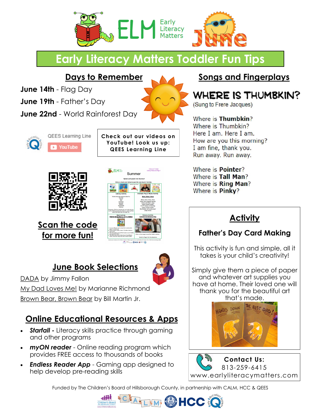

# **Early Literacy Matters Toddler Fun Tips**

**Days to Remember**

**June 14th** - Flag Day

**June 19th** - Father's Day

**June 22nd** - World Rainforest Day





**Check out our videos on YouTube! Look us up: QEES Learning Line**



**Scan the code for more fun!**



### **June Book Selections**



DADA by Jimmy Fallon My Dad Loves Me! by Marianne Richmond

Brown Bear, Brown Bear by Bill Martin Jr.

## **Online Educational Resources & Apps**

- *Starfall -* Literacy skills practice through gaming and other programs
- *myON reader* Online reading program which provides FREE access to thousands of books
- *Endless Reader App* Gaming app designed to help develop pre-reading skills

#### **Songs and Fingerplays**

## WHERE IS THUMBKIN?

(Sung to Frere Jacques)

Where is Thumbkin? Where is Thumbkin? Here I am. Here I am. How are you this morning? I am fine, thank you. Run away. Run away.

Where is **Pointer?** Where is Tall Man? Where is Ring Man? Where is Pinky?

## **Activity**

#### **Father's Day Card Making**

This activity is fun and simple, all it takes is your child's creativity!

Simply give them a piece of paper and whatever art supplies you have at home. Their loved one will thank you for the beautiful art that's made.





Funded by The Children's Board of Hillsborough County, in partnership with CALM, HCC & QEES